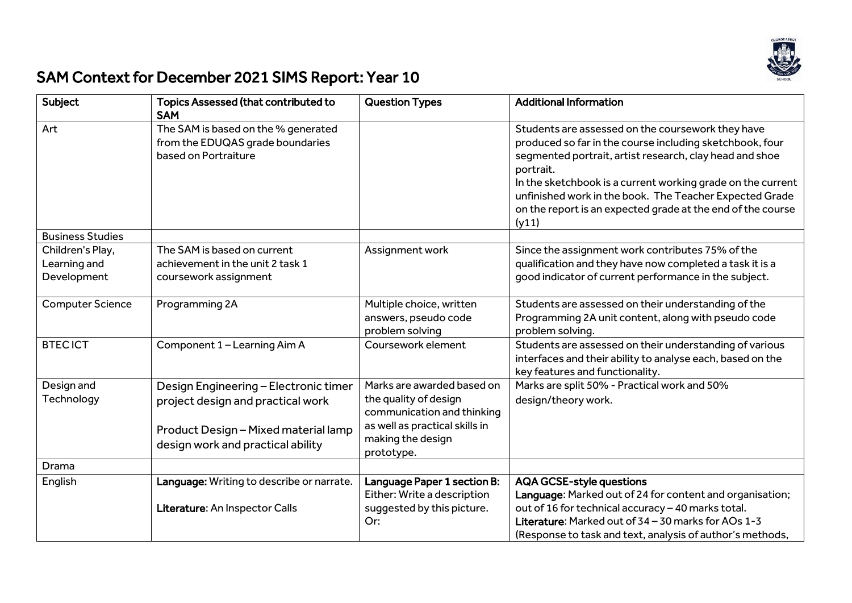

| Subject                                         | <b>Topics Assessed (that contributed to</b><br><b>SAM</b>                                                                                               | <b>Question Types</b>                                                                                                                                  | <b>Additional Information</b>                                                                                                                                                                                                                                                                                                                                                           |
|-------------------------------------------------|---------------------------------------------------------------------------------------------------------------------------------------------------------|--------------------------------------------------------------------------------------------------------------------------------------------------------|-----------------------------------------------------------------------------------------------------------------------------------------------------------------------------------------------------------------------------------------------------------------------------------------------------------------------------------------------------------------------------------------|
| Art                                             | The SAM is based on the % generated<br>from the EDUQAS grade boundaries<br>based on Portraiture                                                         |                                                                                                                                                        | Students are assessed on the coursework they have<br>produced so far in the course including sketchbook, four<br>segmented portrait, artist research, clay head and shoe<br>portrait.<br>In the sketchbook is a current working grade on the current<br>unfinished work in the book. The Teacher Expected Grade<br>on the report is an expected grade at the end of the course<br>(y11) |
| <b>Business Studies</b>                         |                                                                                                                                                         |                                                                                                                                                        |                                                                                                                                                                                                                                                                                                                                                                                         |
| Children's Play,<br>Learning and<br>Development | The SAM is based on current<br>achievement in the unit 2 task 1<br>coursework assignment                                                                | Assignment work                                                                                                                                        | Since the assignment work contributes 75% of the<br>qualification and they have now completed a task it is a<br>good indicator of current performance in the subject.                                                                                                                                                                                                                   |
| <b>Computer Science</b>                         | Programming 2A                                                                                                                                          | Multiple choice, written<br>answers, pseudo code<br>problem solving                                                                                    | Students are assessed on their understanding of the<br>Programming 2A unit content, along with pseudo code<br>problem solving.                                                                                                                                                                                                                                                          |
| <b>BTECICT</b>                                  | Component 1 - Learning Aim A                                                                                                                            | Coursework element                                                                                                                                     | Students are assessed on their understanding of various<br>interfaces and their ability to analyse each, based on the<br>key features and functionality.                                                                                                                                                                                                                                |
| Design and<br>Technology                        | Design Engineering - Electronic timer<br>project design and practical work<br>Product Design - Mixed material lamp<br>design work and practical ability | Marks are awarded based on<br>the quality of design<br>communication and thinking<br>as well as practical skills in<br>making the design<br>prototype. | Marks are split 50% - Practical work and 50%<br>design/theory work.                                                                                                                                                                                                                                                                                                                     |
| Drama                                           |                                                                                                                                                         |                                                                                                                                                        |                                                                                                                                                                                                                                                                                                                                                                                         |
| English                                         | Language: Writing to describe or narrate.<br>Literature: An Inspector Calls                                                                             | Language Paper 1 section B:<br>Either: Write a description<br>suggested by this picture.<br>Or:                                                        | <b>AQA GCSE-style questions</b><br>Language: Marked out of 24 for content and organisation;<br>out of 16 for technical accuracy - 40 marks total.<br>Literature: Marked out of 34 - 30 marks for AOs 1-3<br>(Response to task and text, analysis of author's methods,                                                                                                                   |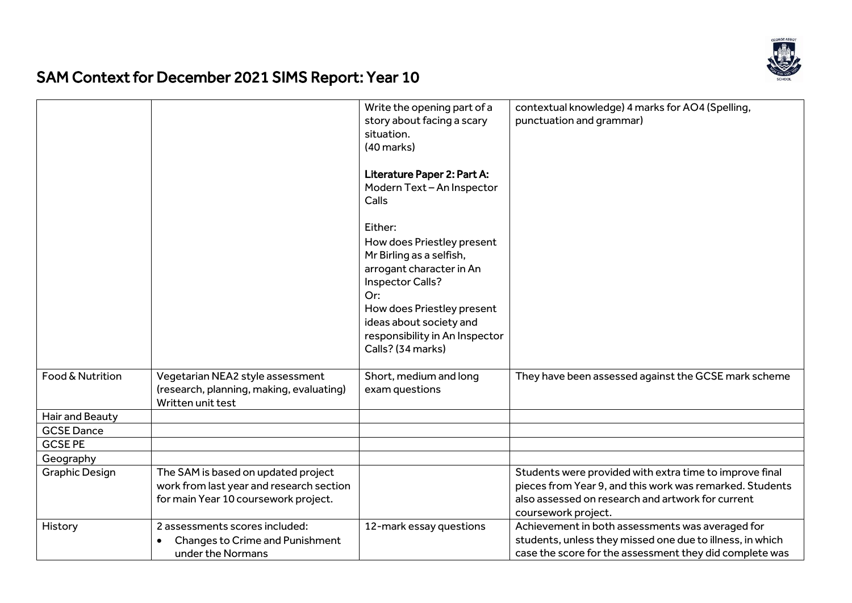

|                       |                                                                                                                         | Write the opening part of a<br>story about facing a scary<br>situation.<br>(40 marks)<br>Literature Paper 2: Part A:<br>Modern Text - An Inspector<br>Calls<br>Either:<br>How does Priestley present<br>Mr Birling as a selfish,<br>arrogant character in An<br>Inspector Calls?<br>Or:<br>How does Priestley present<br>ideas about society and<br>responsibility in An Inspector<br>Calls? (34 marks) | contextual knowledge) 4 marks for AO4 (Spelling,<br>punctuation and grammar)                                                                                                                    |
|-----------------------|-------------------------------------------------------------------------------------------------------------------------|---------------------------------------------------------------------------------------------------------------------------------------------------------------------------------------------------------------------------------------------------------------------------------------------------------------------------------------------------------------------------------------------------------|-------------------------------------------------------------------------------------------------------------------------------------------------------------------------------------------------|
| Food & Nutrition      | Vegetarian NEA2 style assessment<br>(research, planning, making, evaluating)<br>Written unit test                       | Short, medium and long<br>exam questions                                                                                                                                                                                                                                                                                                                                                                | They have been assessed against the GCSE mark scheme                                                                                                                                            |
| Hair and Beauty       |                                                                                                                         |                                                                                                                                                                                                                                                                                                                                                                                                         |                                                                                                                                                                                                 |
| <b>GCSE Dance</b>     |                                                                                                                         |                                                                                                                                                                                                                                                                                                                                                                                                         |                                                                                                                                                                                                 |
| <b>GCSE PE</b>        |                                                                                                                         |                                                                                                                                                                                                                                                                                                                                                                                                         |                                                                                                                                                                                                 |
| Geography             |                                                                                                                         |                                                                                                                                                                                                                                                                                                                                                                                                         |                                                                                                                                                                                                 |
| <b>Graphic Design</b> | The SAM is based on updated project<br>work from last year and research section<br>for main Year 10 coursework project. |                                                                                                                                                                                                                                                                                                                                                                                                         | Students were provided with extra time to improve final<br>pieces from Year 9, and this work was remarked. Students<br>also assessed on research and artwork for current<br>coursework project. |
| History               | 2 assessments scores included:<br>Changes to Crime and Punishment<br>$\bullet$<br>under the Normans                     | 12-mark essay questions                                                                                                                                                                                                                                                                                                                                                                                 | Achievement in both assessments was averaged for<br>students, unless they missed one due to illness, in which<br>case the score for the assessment they did complete was                        |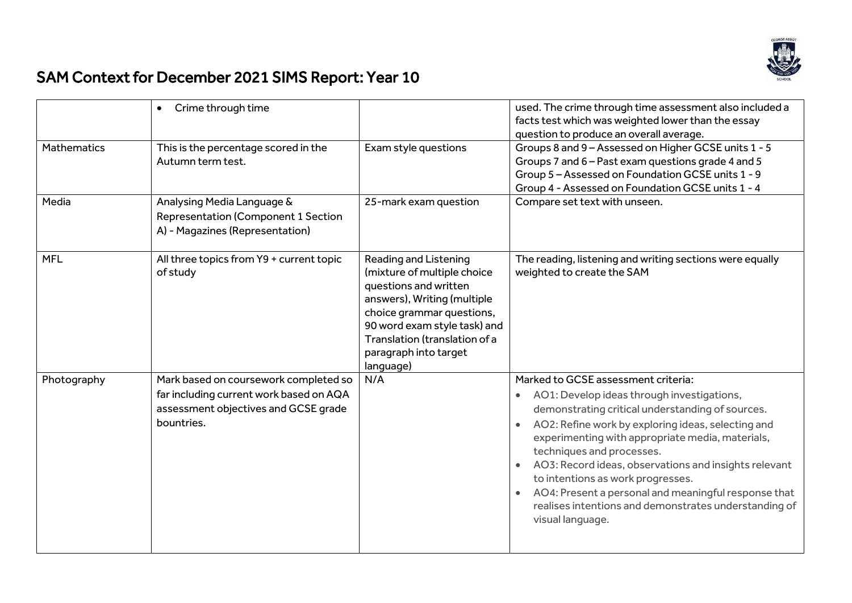

|                    | Crime through time<br>$\bullet$                                                                                                        |                                                                                                                                                                                                                                                         | used. The crime through time assessment also included a<br>facts test which was weighted lower than the essay<br>question to produce an overall average.                                                                                                                                                                                                                                                                                                                                                        |
|--------------------|----------------------------------------------------------------------------------------------------------------------------------------|---------------------------------------------------------------------------------------------------------------------------------------------------------------------------------------------------------------------------------------------------------|-----------------------------------------------------------------------------------------------------------------------------------------------------------------------------------------------------------------------------------------------------------------------------------------------------------------------------------------------------------------------------------------------------------------------------------------------------------------------------------------------------------------|
| <b>Mathematics</b> | This is the percentage scored in the<br>Autumn term test.                                                                              | Exam style questions                                                                                                                                                                                                                                    | Groups 8 and 9 - Assessed on Higher GCSE units 1 - 5<br>Groups 7 and 6 - Past exam questions grade 4 and 5<br>Group 5 - Assessed on Foundation GCSE units 1 - 9<br>Group 4 - Assessed on Foundation GCSE units 1 - 4                                                                                                                                                                                                                                                                                            |
| Media              | Analysing Media Language &<br><b>Representation (Component 1 Section</b><br>A) - Magazines (Representation)                            | 25-mark exam question                                                                                                                                                                                                                                   | Compare set text with unseen.                                                                                                                                                                                                                                                                                                                                                                                                                                                                                   |
| <b>MFL</b>         | All three topics from Y9 + current topic<br>of study                                                                                   | <b>Reading and Listening</b><br>(mixture of multiple choice<br>questions and written<br>answers), Writing (multiple<br>choice grammar questions,<br>90 word exam style task) and<br>Translation (translation of a<br>paragraph into target<br>language) | The reading, listening and writing sections were equally<br>weighted to create the SAM                                                                                                                                                                                                                                                                                                                                                                                                                          |
| Photography        | Mark based on coursework completed so<br>far including current work based on AQA<br>assessment objectives and GCSE grade<br>bountries. | N/A                                                                                                                                                                                                                                                     | Marked to GCSE assessment criteria:<br>AO1: Develop ideas through investigations,<br>demonstrating critical understanding of sources.<br>AO2: Refine work by exploring ideas, selecting and<br>experimenting with appropriate media, materials,<br>techniques and processes.<br>AO3: Record ideas, observations and insights relevant<br>to intentions as work progresses.<br>AO4: Present a personal and meaningful response that<br>realises intentions and demonstrates understanding of<br>visual language. |